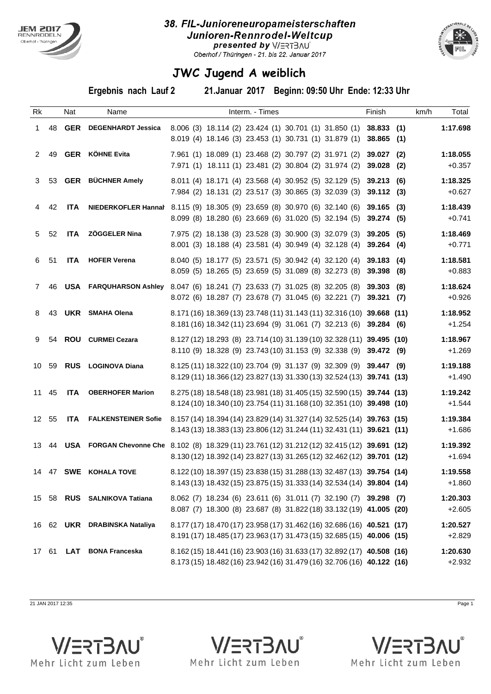

## 38. FIL-Junioreneuropameisterschaften Junioren-Rennrodel-Weltcup **IBSF 2016 2016 2016 21 Dresented by V/ERTBAU**



## **JWC Jugend A weiblich**

**Ergebnis nach Lauf 2 21.Januar 2017 Beginn: 09:50 Uhr Ende: 12:33 Uhr**

| Rk           |       | Nat        | Name                          | Interm. - Times                                                                                                                                                               | Finish | km/h | Total                |
|--------------|-------|------------|-------------------------------|-------------------------------------------------------------------------------------------------------------------------------------------------------------------------------|--------|------|----------------------|
| $\mathbf{1}$ | 48    |            | <b>GER</b> DEGENHARDT Jessica | 8.006 (3) 18.114 (2) 23.424 (1) 30.701 (1) 31.850 (1) 38.833 (1)<br>8.019 (4) 18.146 (3) 23.453 (1) 30.731 (1) 31.879 (1) 38.865 (1)                                          |        |      | 1:17.698             |
| 2            | 49    |            | <b>GER</b> KÖHNE Evita        | 7.961 (1) 18.089 (1) 23.468 (2) 30.797 (2) 31.971 (2) 39.027 (2)<br>7.971 (1) 18.111 (1) 23.481 (2) 30.804 (2) 31.974 (2) 39.028 (2)                                          |        |      | 1:18.055<br>$+0.357$ |
|              | 3 53  |            | <b>GER</b> BÜCHNER Amely      | 8.011 (4) 18.171 (4) 23.568 (4) 30.952 (5) 32.129 (5) 39.213 (6)<br>7.984 (2) 18.131 (2) 23.517 (3) 30.865 (3) 32.039 (3) 39.112 (3)                                          |        |      | 1:18.325<br>$+0.627$ |
| 4            | 42    | ITA        |                               | NIEDERKOFLER Hannał 8.115 (9) 18.305 (9) 23.659 (8) 30.970 (6) 32.140 (6) 39.165 (3)<br>8.099 (8) 18.280 (6) 23.669 (6) 31.020 (5) 32.194 (5) 39.274 (5)                      |        |      | 1:18.439<br>$+0.741$ |
|              | 5 52  | <b>ITA</b> | <b>ZÖGGELER Nina</b>          | 7.975 (2) 18.138 (3) 23.528 (3) 30.900 (3) 32.079 (3) 39.205 (5)<br>8.001 (3) 18.188 (4) 23.581 (4) 30.949 (4) 32.128 (4) 39.264 (4)                                          |        |      | 1:18.469<br>$+0.771$ |
|              | 6 51  |            | ITA HOFER Verena              | 8.040 (5) 18.177 (5) 23.571 (5) 30.942 (4) 32.120 (4) 39.183 (4)<br>8.059 (5) 18.265 (5) 23.659 (5) 31.089 (8) 32.273 (8) 39.398 (8)                                          |        |      | 1:18.581<br>$+0.883$ |
| $7^{\circ}$  | 46    |            |                               | USA FARQUHARSON Ashley 8.047 (6) 18.241 (7) 23.633 (7) 31.025 (8) 32.205 (8) 39.303 (8)<br>8.072 (6) 18.287 (7) 23.678 (7) 31.045 (6) 32.221 (7) 39.321 (7)                   |        |      | 1:18.624<br>$+0.926$ |
| 8            | 43    |            | UKR SMAHA Olena               | 8.171 (16) 18.369 (13) 23.748 (11) 31.143 (11) 32.316 (10) 39.668 (11)<br>8.181 (16) 18.342 (11) 23.694 (9) 31.061 (7) 32.213 (6) 39.284 (6)                                  |        |      | 1:18.952<br>$+1.254$ |
| 9            | 54    |            | ROU CURMEI Cezara             | 8.127 (12) 18.293 (8) 23.714 (10) 31.139 (10) 32.328 (11) 39.495 (10)<br>8.110 (9) 18.328 (9) 23.743 (10) 31.153 (9) 32.338 (9) 39.472 (9)                                    |        |      | 1:18.967<br>$+1.269$ |
| 10 59        |       |            | <b>RUS</b> LOGINOVA Diana     | 8.125 (11) 18.322 (10) 23.704 (9) 31.137 (9) 32.309 (9) 39.447 (9)<br>8.129 (11) 18.366 (12) 23.827 (13) 31.330 (13) 32.524 (13) 39.741 (13)                                  |        |      | 1:19.188<br>$+1.490$ |
| 11 45        |       |            | ITA OBERHOFER Marion          | 8.275 (18) 18.548 (18) 23.981 (18) 31.405 (15) 32.590 (15) 39.744 (13)<br>8.124 (10) 18.340 (10) 23.754 (11) 31.168 (10) 32.351 (10) 39.498 (10)                              |        |      | 1:19.242<br>$+1.544$ |
| 12 55        |       |            |                               | ITA FALKENSTEINER Sofie 8.157 (14) 18.394 (14) 23.829 (14) 31.327 (14) 32.525 (14) 39.763 (15)<br>8.143 (13) 18.383 (13) 23.806 (12) 31.244 (11) 32.431 (11) 39.621 (11)      |        |      | 1:19.384<br>$+1.686$ |
|              |       |            |                               | 13 44 USA FORGAN Chevonne Che 8.102 (8) 18.329 (11) 23.761 (12) 31.212 (12) 32.415 (12) 39.691 (12)<br>8.130 (12) 18.392 (14) 23.827 (13) 31.265 (12) 32.462 (12) 39.701 (12) |        |      | 1:19.392<br>$+1.694$ |
|              |       |            | 14 47 SWE KOHALA TOVE         | 8.122 (10) 18.397 (15) 23.838 (15) 31.288 (13) 32.487 (13) 39.754 (14)<br>8.143 (13) 18.432 (15) 23.875 (15) 31.333 (14) 32.534 (14) 39.804 (14)                              |        |      | 1:19.558<br>$+1.860$ |
|              |       |            | 15 58 RUS SALNIKOVA Tatiana   | 8.062 (7) 18.234 (6) 23.611 (6) 31.011 (7) 32.190 (7) 39.298 (7)<br>8.087 (7) 18.300 (8) 23.687 (8) 31.822 (18) 33.132 (19) 41.005 (20)                                       |        |      | 1:20.303<br>$+2.605$ |
|              |       |            | 16 62 UKR DRABINSKA Nataliya  | 8.177 (17) 18.470 (17) 23.958 (17) 31.462 (16) 32.686 (16) 40.521 (17)<br>8.191 (17) 18.485 (17) 23.963 (17) 31.473 (15) 32.685 (15) 40.006 (15)                              |        |      | 1:20.527<br>$+2.829$ |
|              | 17 61 |            | LAT BONA Franceska            | 8.162 (15) 18.441 (16) 23.903 (16) 31.633 (17) 32.892 (17) 40.508 (16)<br>8.173 (15) 18.482 (16) 23.942 (16) 31.479 (16) 32.706 (16) 40.122 (16)                              |        |      | 1:20.630<br>$+2.932$ |

21 JAN 2017 12:35 Page 1

**V/ERTBAU®** 

Mehr Licht zum Leben



Mehr Licht zum Leben

**V/ERTBAU®**